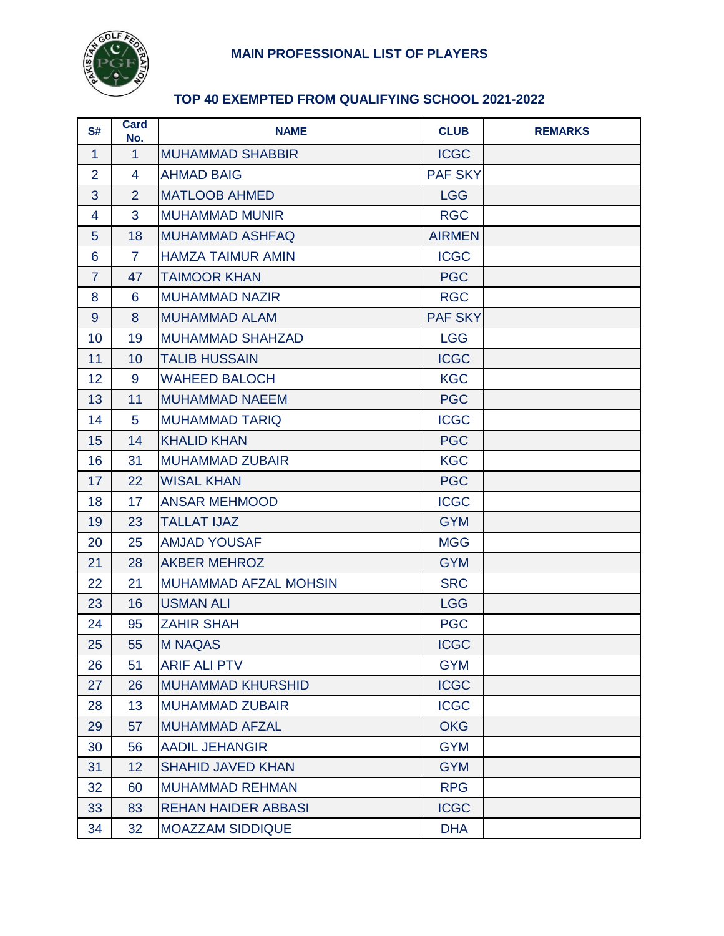

# **MAIN PROFESSIONAL LIST OF PLAYERS**

## **TOP 40 EXEMPTED FROM QUALIFYING SCHOOL 2021-2022**

| S#             | <b>Card</b><br>No. | <b>NAME</b>                  | <b>CLUB</b>    | <b>REMARKS</b> |
|----------------|--------------------|------------------------------|----------------|----------------|
| $\mathbf{1}$   | $\mathbf{1}$       | <b>MUHAMMAD SHABBIR</b>      | <b>ICGC</b>    |                |
| $\overline{2}$ | $\overline{4}$     | <b>AHMAD BAIG</b>            | <b>PAF SKY</b> |                |
| 3              | $\overline{2}$     | <b>MATLOOB AHMED</b>         | <b>LGG</b>     |                |
| $\overline{4}$ | 3                  | <b>MUHAMMAD MUNIR</b>        | <b>RGC</b>     |                |
| $5\phantom{1}$ | 18                 | <b>MUHAMMAD ASHFAQ</b>       | <b>AIRMEN</b>  |                |
| 6              | $\overline{7}$     | <b>HAMZA TAIMUR AMIN</b>     | <b>ICGC</b>    |                |
| $\overline{7}$ | 47                 | <b>TAIMOOR KHAN</b>          | <b>PGC</b>     |                |
| 8              | 6                  | <b>MUHAMMAD NAZIR</b>        | <b>RGC</b>     |                |
| 9              | 8                  | <b>MUHAMMAD ALAM</b>         | <b>PAF SKY</b> |                |
| 10             | 19                 | <b>MUHAMMAD SHAHZAD</b>      | <b>LGG</b>     |                |
| 11             | 10                 | <b>TALIB HUSSAIN</b>         | <b>ICGC</b>    |                |
| 12             | 9                  | <b>WAHEED BALOCH</b>         | <b>KGC</b>     |                |
| 13             | 11                 | <b>MUHAMMAD NAEEM</b>        | <b>PGC</b>     |                |
| 14             | 5                  | <b>MUHAMMAD TARIQ</b>        | <b>ICGC</b>    |                |
| 15             | 14                 | <b>KHALID KHAN</b>           | <b>PGC</b>     |                |
| 16             | 31                 | <b>MUHAMMAD ZUBAIR</b>       | <b>KGC</b>     |                |
| 17             | 22                 | <b>WISAL KHAN</b>            | <b>PGC</b>     |                |
| 18             | 17                 | <b>ANSAR MEHMOOD</b>         | <b>ICGC</b>    |                |
| 19             | 23                 | <b>TALLAT IJAZ</b>           | <b>GYM</b>     |                |
| 20             | 25                 | <b>AMJAD YOUSAF</b>          | <b>MGG</b>     |                |
| 21             | 28                 | <b>AKBER MEHROZ</b>          | <b>GYM</b>     |                |
| 22             | 21                 | <b>MUHAMMAD AFZAL MOHSIN</b> | <b>SRC</b>     |                |
| 23             | 16                 | <b>USMAN ALI</b>             | <b>LGG</b>     |                |
| 24             | 95                 | <b>ZAHIR SHAH</b>            | <b>PGC</b>     |                |
| 25             | 55                 | <b>M NAQAS</b>               | <b>ICGC</b>    |                |
| 26             | 51                 | <b>ARIF ALI PTV</b>          | <b>GYM</b>     |                |
| 27             | 26                 | <b>MUHAMMAD KHURSHID</b>     | <b>ICGC</b>    |                |
| 28             | 13                 | <b>MUHAMMAD ZUBAIR</b>       | <b>ICGC</b>    |                |
| 29             | 57                 | <b>MUHAMMAD AFZAL</b>        | <b>OKG</b>     |                |
| 30             | 56                 | <b>AADIL JEHANGIR</b>        | <b>GYM</b>     |                |
| 31             | 12                 | <b>SHAHID JAVED KHAN</b>     | <b>GYM</b>     |                |
| 32             | 60                 | <b>MUHAMMAD REHMAN</b>       | <b>RPG</b>     |                |
| 33             | 83                 | <b>REHAN HAIDER ABBASI</b>   | <b>ICGC</b>    |                |
| 34             | 32                 | <b>MOAZZAM SIDDIQUE</b>      | <b>DHA</b>     |                |